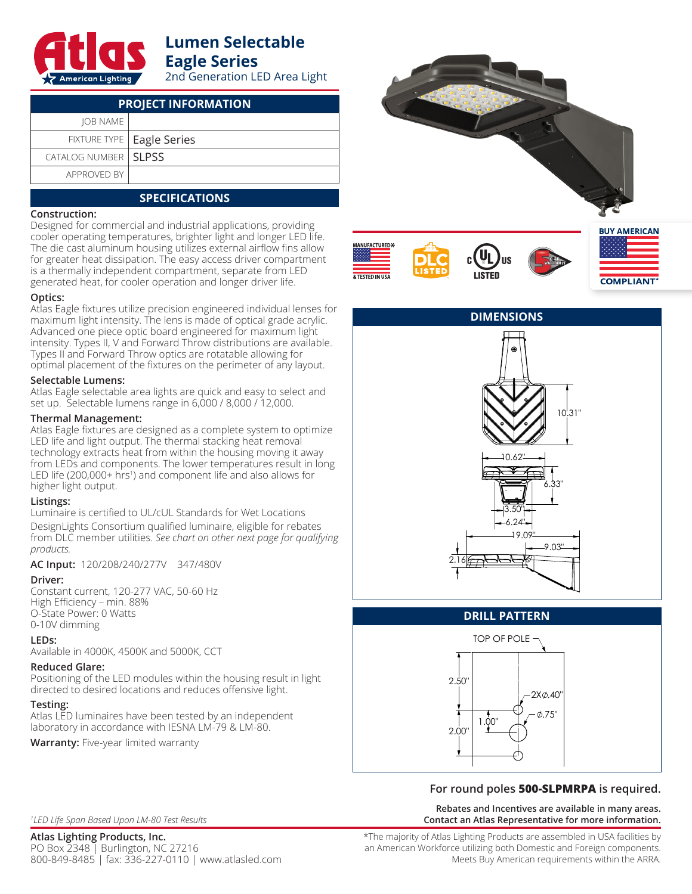

# **Lumen Selectable Eagle Series**

2nd Generation LED Area Light

| <b>PROJECT INFORMATION</b> |                             |  |  |  |  |
|----------------------------|-----------------------------|--|--|--|--|
| <b>JOB NAME</b>            |                             |  |  |  |  |
|                            | FIXTURE TYPE   Eagle Series |  |  |  |  |
| CATALOG NUMBER   SLPSS     |                             |  |  |  |  |
| APPROVED BY                |                             |  |  |  |  |
|                            |                             |  |  |  |  |

## **SPECIFICATIONS**

#### **Construction:**

Designed for commercial and industrial applications, providing cooler operating temperatures, brighter light and longer LED life. The die cast aluminum housing utilizes external airflow fins allow for greater heat dissipation. The easy access driver compartment is a thermally independent compartment, separate from LED generated heat, for cooler operation and longer driver life.

#### **Optics:**

Atlas Eagle fixtures utilize precision engineered individual lenses for maximum light intensity. The lens is made of optical grade acrylic. Advanced one piece optic board engineered for maximum light intensity. Types II, V and Forward Throw distributions are available. Types II and Forward Throw optics are rotatable allowing for optimal placement of the fixtures on the perimeter of any layout.

#### **Selectable Lumens:**

Atlas Eagle selectable area lights are quick and easy to select and set up. Selectable lumens range in 6,000 / 8,000 / 12,000.

#### **Thermal Management:**

Atlas Eagle fixtures are designed as a complete system to optimize LED life and light output. The thermal stacking heat removal technology extracts heat from within the housing moving it away from LEDs and components. The lower temperatures result in long LED life (200,000+ hrs<sup>1</sup>) and component life and also allows for higher light output.

#### **Listings:**

Luminaire is certified to UL/cUL Standards for Wet Locations DesignLights Consortium qualified luminaire, eligible for rebates from DLC member utilities. *See chart on other next page for qualifying products.*

**AC Input:** 120/208/240/277V 347/480V

#### **Driver:**

Constant current, 120-277 VAC, 50-60 Hz High Efficiency – min. 88% O-State Power: 0 Watts 0-10V dimming

#### **LEDs:**

Available in 4000K, 4500K and 5000K, CCT

## **Reduced Glare:**

Positioning of the LED modules within the housing result in light directed to desired locations and reduces offensive light.

## **Testing:**

Atlas LED luminaires have been tested by an independent laboratory in accordance with IESNA LM-79 & LM-80.

**Warranty:** Five-year limited warranty



**COMPLIANT** 



#### **DRILL PATTERN**



## **For round poles 500-SLPMRPA is required.**

**Rebates and Incentives are available in many areas. Contact an Atlas Representative for more information.**

*1 LED Life Span Based Upon LM-80 Test Results*

**Atlas Lighting Products, Inc.**

PO Box 2348 | Burlington, NC 27216 800-849-8485 | fax: 336-227-0110 | www.atlasled.com \*The majority of Atlas Lighting Products are assembled in USA facilities by an American Workforce utilizing both Domestic and Foreign components. Meets Buy American requirements within the ARRA.